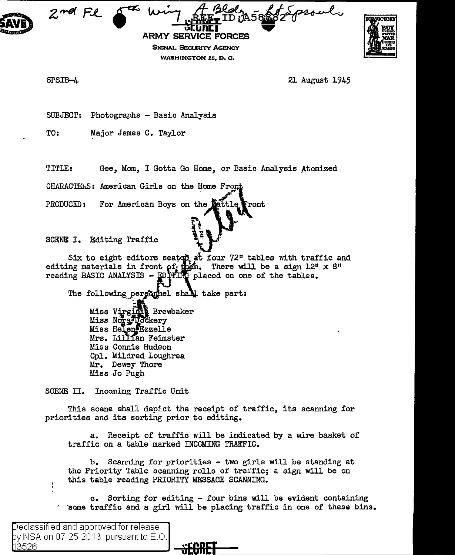



SPSIB-4

21 August 1945

SUBJECT: Photographs - Basic Analysis

TO: Major James C. Taylor

TITLE: Gee, Mom, I Gotta Go Home, or Basic Analysis Atomized

**SIGNAL SECURITY AGENCY WASHINGTON 25. D. C.** 

CHARACTERS: American Girls on the Home From

For American Boys on the 1 PRODUCED: ront!

SCENE I. Editing Traffic

Six to eight editors seated at four 72" tables with traffic and editing materials in front  $\rho f_{\vec{k}}$  when. There will be a sign 12" x 8" reading BASIC ANALYSIS - EDITING placed on one of the tables.

The following person hell shall take part:

Miss Virgin Brewbaker Miss Norg Inckery Miss Helen Ezzelle Mrs. Lillian Feimster Miss Connie Hudson Cpl. Mildred Loughrea Mr. Dewey Thore Miss Jo Pugh

SCENE II. Incoming Traffic Unit

This scene shall depict the receipt of traffic, its scanning for priorities and its sorting prior to editing.

a. Receipt of traffic will be indicated by a wire basket of traffic on a table marked INCCMING TRAFFIC.

b. Scanning for priorities - two girls will be standing at the Priority Table scanning rolls of traific; a sign will be on this table reading PRIORITY MESSAGE SCANNING.

c. Sorting for editing - four bins will be evident containing some traffic and a girl will be placing traffic in one of these bins.